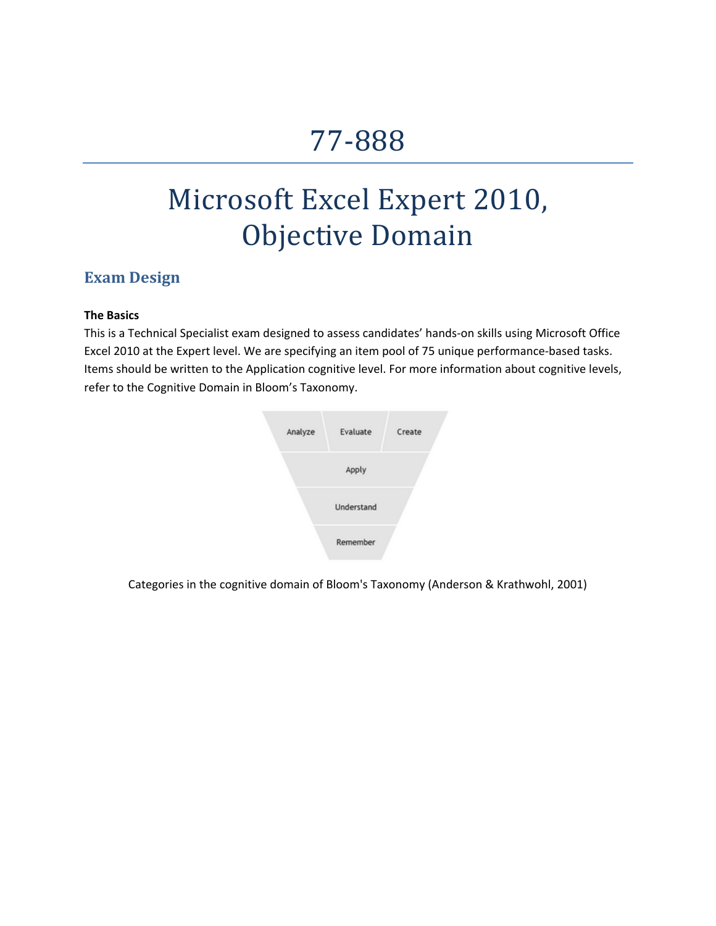# 77‐888

# Microsoft Excel Expert 2010, Objective Domain

## **Exam Design**

### **The Basics**

This is a Technical Specialist exam designed to assess candidates' hands‐on skills using Microsoft Office Excel 2010 at the Expert level. We are specifying an item pool of 75 unique performance-based tasks. Items should be written to the Application cognitive level. For more information about cognitive levels, refer to the Cognitive Domain in Bloom's Taxonomy.



Categories in the cognitive domain of Bloom's [Taxonomy](http://en.wikipedia.org/wiki/Image:BloomsCognitiveDomain.PNG) (Anderson & Krathwohl, 2001)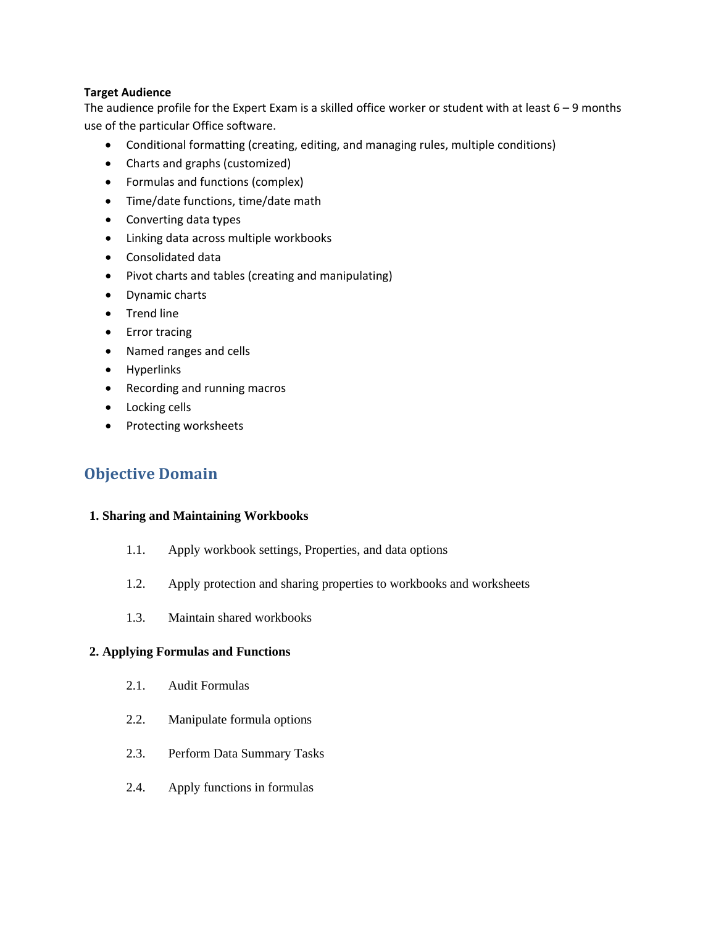#### **Target Audience**

The audience profile for the Expert Exam is a skilled office worker or student with at least  $6 - 9$  months use of the particular Office software.

- Conditional formatting (creating, editing, and managing rules, multiple conditions)
- Charts and graphs (customized)
- Formulas and functions (complex)
- Time/date functions, time/date math
- Converting data types
- Linking data across multiple workbooks
- Consolidated data
- Pivot charts and tables (creating and manipulating)
- Dynamic charts
- Trend line
- Error tracing
- Named ranges and cells
- Hyperlinks
- Recording and running macros
- Locking cells
- Protecting worksheets

# **Objective Domain**

#### **1. Sharing and Maintaining Workbooks**

- 1.1. Apply workbook settings, Properties, and data options
- 1.2. Apply protection and sharing properties to workbooks and worksheets
- 1.3. Maintain shared workbooks

### **2. Applying Formulas and Functions**

- 2.1. Audit Formulas
- 2.2. Manipulate formula options
- 2.3. Perform Data Summary Tasks
- 2.4. Apply functions in formulas